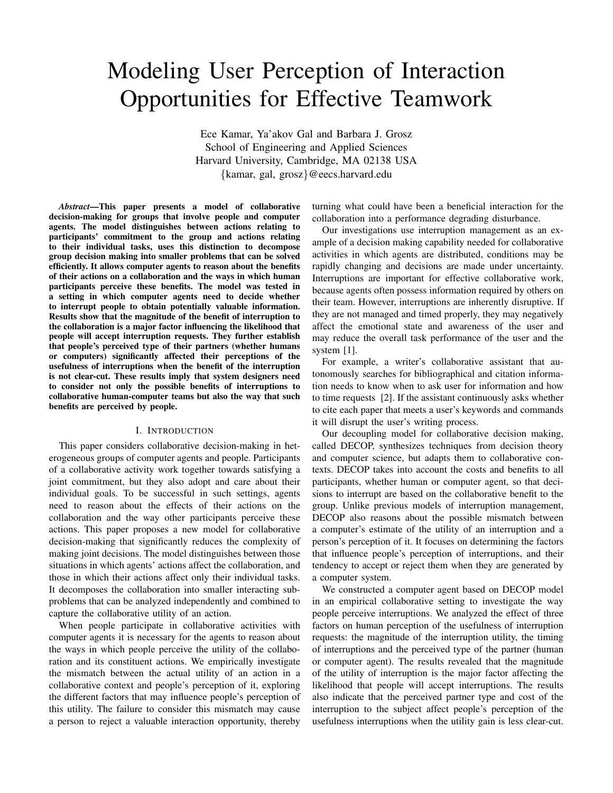# Modeling User Perception of Interaction Opportunities for Effective Teamwork

Ece Kamar, Ya'akov Gal and Barbara J. Grosz School of Engineering and Applied Sciences Harvard University, Cambridge, MA 02138 USA {kamar, gal, grosz}@eecs.harvard.edu

*Abstract*—This paper presents a model of collaborative decision-making for groups that involve people and computer agents. The model distinguishes between actions relating to participants' commitment to the group and actions relating to their individual tasks, uses this distinction to decompose group decision making into smaller problems that can be solved efficiently. It allows computer agents to reason about the benefits of their actions on a collaboration and the ways in which human participants perceive these benefits. The model was tested in a setting in which computer agents need to decide whether to interrupt people to obtain potentially valuable information. Results show that the magnitude of the benefit of interruption to the collaboration is a major factor influencing the likelihood that people will accept interruption requests. They further establish that people's perceived type of their partners (whether humans or computers) significantly affected their perceptions of the usefulness of interruptions when the benefit of the interruption is not clear-cut. These results imply that system designers need to consider not only the possible benefits of interruptions to collaborative human-computer teams but also the way that such benefits are perceived by people.

# I. INTRODUCTION

This paper considers collaborative decision-making in heterogeneous groups of computer agents and people. Participants of a collaborative activity work together towards satisfying a joint commitment, but they also adopt and care about their individual goals. To be successful in such settings, agents need to reason about the effects of their actions on the collaboration and the way other participants perceive these actions. This paper proposes a new model for collaborative decision-making that significantly reduces the complexity of making joint decisions. The model distinguishes between those situations in which agents' actions affect the collaboration, and those in which their actions affect only their individual tasks. It decomposes the collaboration into smaller interacting subproblems that can be analyzed independently and combined to capture the collaborative utility of an action.

When people participate in collaborative activities with computer agents it is necessary for the agents to reason about the ways in which people perceive the utility of the collaboration and its constituent actions. We empirically investigate the mismatch between the actual utility of an action in a collaborative context and people's perception of it, exploring the different factors that may influence people's perception of this utility. The failure to consider this mismatch may cause a person to reject a valuable interaction opportunity, thereby

turning what could have been a beneficial interaction for the collaboration into a performance degrading disturbance.

Our investigations use interruption management as an example of a decision making capability needed for collaborative activities in which agents are distributed, conditions may be rapidly changing and decisions are made under uncertainty. Interruptions are important for effective collaborative work, because agents often possess information required by others on their team. However, interruptions are inherently disruptive. If they are not managed and timed properly, they may negatively affect the emotional state and awareness of the user and may reduce the overall task performance of the user and the system [1].

For example, a writer's collaborative assistant that autonomously searches for bibliographical and citation information needs to know when to ask user for information and how to time requests [2]. If the assistant continuously asks whether to cite each paper that meets a user's keywords and commands it will disrupt the user's writing process.

Our decoupling model for collaborative decision making, called DECOP, synthesizes techniques from decision theory and computer science, but adapts them to collaborative contexts. DECOP takes into account the costs and benefits to all participants, whether human or computer agent, so that decisions to interrupt are based on the collaborative benefit to the group. Unlike previous models of interruption management, DECOP also reasons about the possible mismatch between a computer's estimate of the utility of an interruption and a person's perception of it. It focuses on determining the factors that influence people's perception of interruptions, and their tendency to accept or reject them when they are generated by a computer system.

We constructed a computer agent based on DECOP model in an empirical collaborative setting to investigate the way people perceive interruptions. We analyzed the effect of three factors on human perception of the usefulness of interruption requests: the magnitude of the interruption utility, the timing of interruptions and the perceived type of the partner (human or computer agent). The results revealed that the magnitude of the utility of interruption is the major factor affecting the likelihood that people will accept interruptions. The results also indicate that the perceived partner type and cost of the interruption to the subject affect people's perception of the usefulness interruptions when the utility gain is less clear-cut.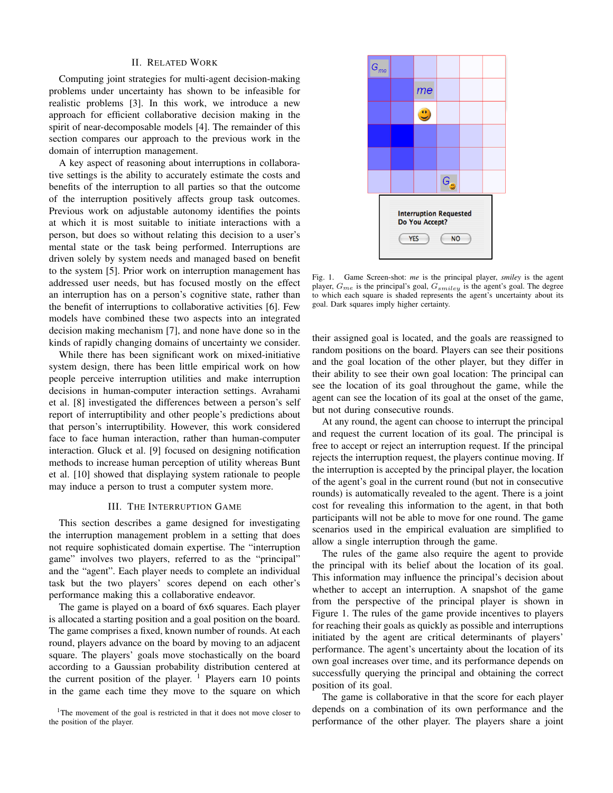#### II. RELATED WORK

Computing joint strategies for multi-agent decision-making problems under uncertainty has shown to be infeasible for realistic problems [3]. In this work, we introduce a new approach for efficient collaborative decision making in the spirit of near-decomposable models [4]. The remainder of this section compares our approach to the previous work in the domain of interruption management.

A key aspect of reasoning about interruptions in collaborative settings is the ability to accurately estimate the costs and benefits of the interruption to all parties so that the outcome of the interruption positively affects group task outcomes. Previous work on adjustable autonomy identifies the points at which it is most suitable to initiate interactions with a person, but does so without relating this decision to a user's mental state or the task being performed. Interruptions are driven solely by system needs and managed based on benefit to the system [5]. Prior work on interruption management has addressed user needs, but has focused mostly on the effect an interruption has on a person's cognitive state, rather than the benefit of interruptions to collaborative activities [6]. Few models have combined these two aspects into an integrated decision making mechanism [7], and none have done so in the kinds of rapidly changing domains of uncertainty we consider.

While there has been significant work on mixed-initiative system design, there has been little empirical work on how people perceive interruption utilities and make interruption decisions in human-computer interaction settings. Avrahami et al. [8] investigated the differences between a person's self report of interruptibility and other people's predictions about that person's interruptibility. However, this work considered face to face human interaction, rather than human-computer interaction. Gluck et al. [9] focused on designing notification methods to increase human perception of utility whereas Bunt et al. [10] showed that displaying system rationale to people may induce a person to trust a computer system more.

#### III. THE INTERRUPTION GAME

This section describes a game designed for investigating the interruption management problem in a setting that does not require sophisticated domain expertise. The "interruption game" involves two players, referred to as the "principal" and the "agent". Each player needs to complete an individual task but the two players' scores depend on each other's performance making this a collaborative endeavor.

The game is played on a board of 6x6 squares. Each player is allocated a starting position and a goal position on the board. The game comprises a fixed, known number of rounds. At each round, players advance on the board by moving to an adjacent square. The players' goals move stochastically on the board according to a Gaussian probability distribution centered at the current position of the player.  $\frac{1}{1}$  Players earn 10 points in the game each time they move to the square on which





Fig. 1. Game Screen-shot: *me* is the principal player, *smiley* is the agent player,  $G_{me}$  is the principal's goal,  $G_{smiley}$  is the agent's goal. The degree to which each square is shaded represents the agent's uncertainty about its goal. Dark squares imply higher certainty.

their assigned goal is located, and the goals are reassigned to random positions on the board. Players can see their positions and the goal location of the other player, but they differ in their ability to see their own goal location: The principal can see the location of its goal throughout the game, while the agent can see the location of its goal at the onset of the game, but not during consecutive rounds.

At any round, the agent can choose to interrupt the principal and request the current location of its goal. The principal is free to accept or reject an interruption request. If the principal rejects the interruption request, the players continue moving. If the interruption is accepted by the principal player, the location of the agent's goal in the current round (but not in consecutive rounds) is automatically revealed to the agent. There is a joint cost for revealing this information to the agent, in that both participants will not be able to move for one round. The game scenarios used in the empirical evaluation are simplified to allow a single interruption through the game.

The rules of the game also require the agent to provide the principal with its belief about the location of its goal. This information may influence the principal's decision about whether to accept an interruption. A snapshot of the game from the perspective of the principal player is shown in Figure 1. The rules of the game provide incentives to players for reaching their goals as quickly as possible and interruptions initiated by the agent are critical determinants of players' performance. The agent's uncertainty about the location of its own goal increases over time, and its performance depends on successfully querying the principal and obtaining the correct position of its goal.

The game is collaborative in that the score for each player depends on a combination of its own performance and the performance of the other player. The players share a joint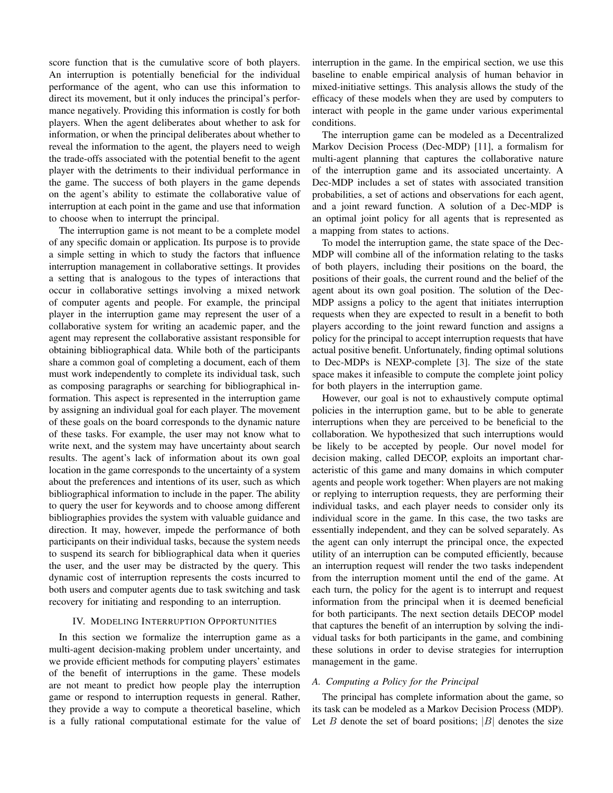score function that is the cumulative score of both players. An interruption is potentially beneficial for the individual performance of the agent, who can use this information to direct its movement, but it only induces the principal's performance negatively. Providing this information is costly for both players. When the agent deliberates about whether to ask for information, or when the principal deliberates about whether to reveal the information to the agent, the players need to weigh the trade-offs associated with the potential benefit to the agent player with the detriments to their individual performance in the game. The success of both players in the game depends on the agent's ability to estimate the collaborative value of interruption at each point in the game and use that information to choose when to interrupt the principal.

The interruption game is not meant to be a complete model of any specific domain or application. Its purpose is to provide a simple setting in which to study the factors that influence interruption management in collaborative settings. It provides a setting that is analogous to the types of interactions that occur in collaborative settings involving a mixed network of computer agents and people. For example, the principal player in the interruption game may represent the user of a collaborative system for writing an academic paper, and the agent may represent the collaborative assistant responsible for obtaining bibliographical data. While both of the participants share a common goal of completing a document, each of them must work independently to complete its individual task, such as composing paragraphs or searching for bibliographical information. This aspect is represented in the interruption game by assigning an individual goal for each player. The movement of these goals on the board corresponds to the dynamic nature of these tasks. For example, the user may not know what to write next, and the system may have uncertainty about search results. The agent's lack of information about its own goal location in the game corresponds to the uncertainty of a system about the preferences and intentions of its user, such as which bibliographical information to include in the paper. The ability to query the user for keywords and to choose among different bibliographies provides the system with valuable guidance and direction. It may, however, impede the performance of both participants on their individual tasks, because the system needs to suspend its search for bibliographical data when it queries the user, and the user may be distracted by the query. This dynamic cost of interruption represents the costs incurred to both users and computer agents due to task switching and task recovery for initiating and responding to an interruption.

# IV. MODELING INTERRUPTION OPPORTUNITIES

In this section we formalize the interruption game as a multi-agent decision-making problem under uncertainty, and we provide efficient methods for computing players' estimates of the benefit of interruptions in the game. These models are not meant to predict how people play the interruption game or respond to interruption requests in general. Rather, they provide a way to compute a theoretical baseline, which is a fully rational computational estimate for the value of interruption in the game. In the empirical section, we use this baseline to enable empirical analysis of human behavior in mixed-initiative settings. This analysis allows the study of the efficacy of these models when they are used by computers to interact with people in the game under various experimental conditions.

The interruption game can be modeled as a Decentralized Markov Decision Process (Dec-MDP) [11], a formalism for multi-agent planning that captures the collaborative nature of the interruption game and its associated uncertainty. A Dec-MDP includes a set of states with associated transition probabilities, a set of actions and observations for each agent, and a joint reward function. A solution of a Dec-MDP is an optimal joint policy for all agents that is represented as a mapping from states to actions.

To model the interruption game, the state space of the Dec-MDP will combine all of the information relating to the tasks of both players, including their positions on the board, the positions of their goals, the current round and the belief of the agent about its own goal position. The solution of the Dec-MDP assigns a policy to the agent that initiates interruption requests when they are expected to result in a benefit to both players according to the joint reward function and assigns a policy for the principal to accept interruption requests that have actual positive benefit. Unfortunately, finding optimal solutions to Dec-MDPs is NEXP-complete [3]. The size of the state space makes it infeasible to compute the complete joint policy for both players in the interruption game.

However, our goal is not to exhaustively compute optimal policies in the interruption game, but to be able to generate interruptions when they are perceived to be beneficial to the collaboration. We hypothesized that such interruptions would be likely to be accepted by people. Our novel model for decision making, called DECOP, exploits an important characteristic of this game and many domains in which computer agents and people work together: When players are not making or replying to interruption requests, they are performing their individual tasks, and each player needs to consider only its individual score in the game. In this case, the two tasks are essentially independent, and they can be solved separately. As the agent can only interrupt the principal once, the expected utility of an interruption can be computed efficiently, because an interruption request will render the two tasks independent from the interruption moment until the end of the game. At each turn, the policy for the agent is to interrupt and request information from the principal when it is deemed beneficial for both participants. The next section details DECOP model that captures the benefit of an interruption by solving the individual tasks for both participants in the game, and combining these solutions in order to devise strategies for interruption management in the game.

#### *A. Computing a Policy for the Principal*

The principal has complete information about the game, so its task can be modeled as a Markov Decision Process (MDP). Let B denote the set of board positions;  $|B|$  denotes the size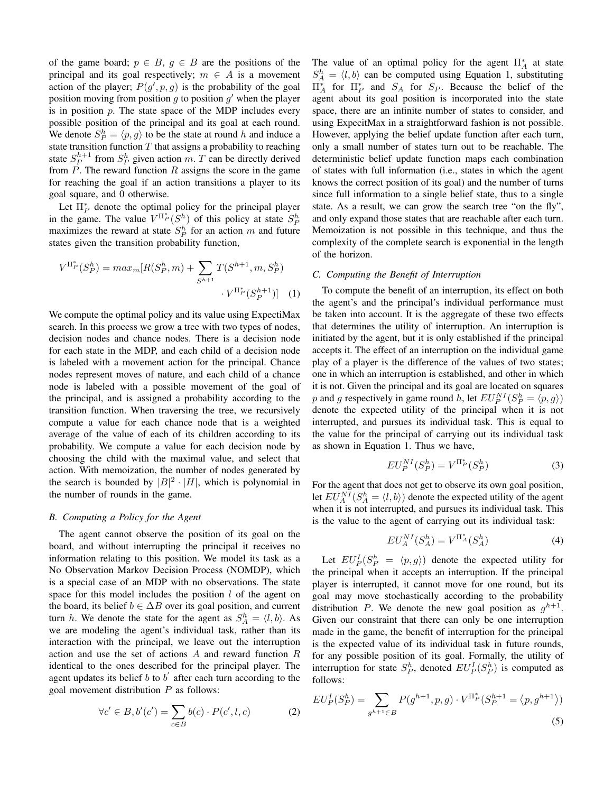of the game board;  $p \in B$ ,  $q \in B$  are the positions of the principal and its goal respectively;  $m \in A$  is a movement action of the player;  $P(g', p, g)$  is the probability of the goal position moving from position  $g$  to position  $g'$  when the player is in position  $p$ . The state space of the MDP includes every possible position of the principal and its goal at each round. We denote  $S_P^h = \langle p, g \rangle$  to be the state at round h and induce a state transition function  $T$  that assigns a probability to reaching state  $S_P^{h+1}$  from  $S_P^h$  given action m. T can be directly derived from  $P$ . The reward function  $R$  assigns the score in the game for reaching the goal if an action transitions a player to its goal square, and 0 otherwise.

Let  $\Pi_P^*$  denote the optimal policy for the principal player in the game. The value  $V^{\Pi_P^*}(S^h)$  of this policy at state  $S^h_P$ maximizes the reward at state  $S_P^h$  for an action m and future states given the transition probability function,

$$
V^{\Pi_P^*}(S_P^h) = max_m [R(S_P^h, m) + \sum_{S^{h+1}} T(S^{h+1}, m, S_P^h)
$$

$$
\cdot V^{\Pi_P^*}(S_P^{h+1})]
$$
 (1)

We compute the optimal policy and its value using ExpectiMax search. In this process we grow a tree with two types of nodes, decision nodes and chance nodes. There is a decision node for each state in the MDP, and each child of a decision node is labeled with a movement action for the principal. Chance nodes represent moves of nature, and each child of a chance node is labeled with a possible movement of the goal of the principal, and is assigned a probability according to the transition function. When traversing the tree, we recursively compute a value for each chance node that is a weighted average of the value of each of its children according to its probability. We compute a value for each decision node by choosing the child with the maximal value, and select that action. With memoization, the number of nodes generated by the search is bounded by  $|B|^2 \cdot |H|$ , which is polynomial in the number of rounds in the game.

# *B. Computing a Policy for the Agent*

The agent cannot observe the position of its goal on the board, and without interrupting the principal it receives no information relating to this position. We model its task as a No Observation Markov Decision Process (NOMDP), which is a special case of an MDP with no observations. The state space for this model includes the position  $l$  of the agent on the board, its belief  $b \in \Delta B$  over its goal position, and current turn h. We denote the state for the agent as  $S_A^h = \langle l, b \rangle$ . As we are modeling the agent's individual task, rather than its interaction with the principal, we leave out the interruption action and use the set of actions A and reward function R identical to the ones described for the principal player. The agent updates its belief  $b$  to  $b'$  after each turn according to the goal movement distribution  $P$  as follows:

$$
\forall c' \in B, b'(c') = \sum_{c \in B} b(c) \cdot P(c', l, c)
$$
 (2)

The value of an optimal policy for the agent  $\Pi_A^*$  at state  $S_A^h = \langle l, b \rangle$  can be computed using Equation 1, substituting  $\Pi_A^*$  for  $\Pi_P^*$  and  $S_A$  for  $S_P$ . Because the belief of the agent about its goal position is incorporated into the state space, there are an infinite number of states to consider, and using ExpecitMax in a straightforward fashion is not possible. However, applying the belief update function after each turn, only a small number of states turn out to be reachable. The deterministic belief update function maps each combination of states with full information (i.e., states in which the agent knows the correct position of its goal) and the number of turns since full information to a single belief state, thus to a single state. As a result, we can grow the search tree "on the fly", and only expand those states that are reachable after each turn. Memoization is not possible in this technique, and thus the complexity of the complete search is exponential in the length of the horizon.

### *C. Computing the Benefit of Interruption*

To compute the benefit of an interruption, its effect on both the agent's and the principal's individual performance must be taken into account. It is the aggregate of these two effects that determines the utility of interruption. An interruption is initiated by the agent, but it is only established if the principal accepts it. The effect of an interruption on the individual game play of a player is the difference of the values of two states; one in which an interruption is established, and other in which it is not. Given the principal and its goal are located on squares p and g respectively in game round h, let  $EU_P^{NI}(S_P^h = \langle p, g \rangle)$ denote the expected utility of the principal when it is not interrupted, and pursues its individual task. This is equal to the value for the principal of carrying out its individual task as shown in Equation 1. Thus we have,

$$
EU_P^{NI}(S_P^h) = V^{\Pi_P^*}(S_P^h)
$$
\n(3)

For the agent that does not get to observe its own goal position, let  $EU_A^{NI}(S_A^h = \langle l, b \rangle)$  denote the expected utility of the agent when it is not interrupted, and pursues its individual task. This is the value to the agent of carrying out its individual task:

$$
EU_A^{NI}(S_A^h) = V^{\Pi_A^*}(S_A^h)
$$
 (4)

Let  $EU_P^I(S_P^h = \langle p, g \rangle)$  denote the expected utility for the principal when it accepts an interruption. If the principal player is interrupted, it cannot move for one round, but its goal may move stochastically according to the probability distribution P. We denote the new goal position as  $g^{h+1}$ . Given our constraint that there can only be one interruption made in the game, the benefit of interruption for the principal is the expected value of its individual task in future rounds, for any possible position of its goal. Formally, the utility of interruption for state  $S_P^h$ , denoted  $EU_P^I(S_P^h)$  is computed as follows:

$$
EU_P^I(S_P^h) = \sum_{g^{h+1} \in B} P(g^{h+1}, p, g) \cdot V^{\Pi_P^*}(S_P^{h+1} = \langle p, g^{h+1} \rangle)
$$
\n(5)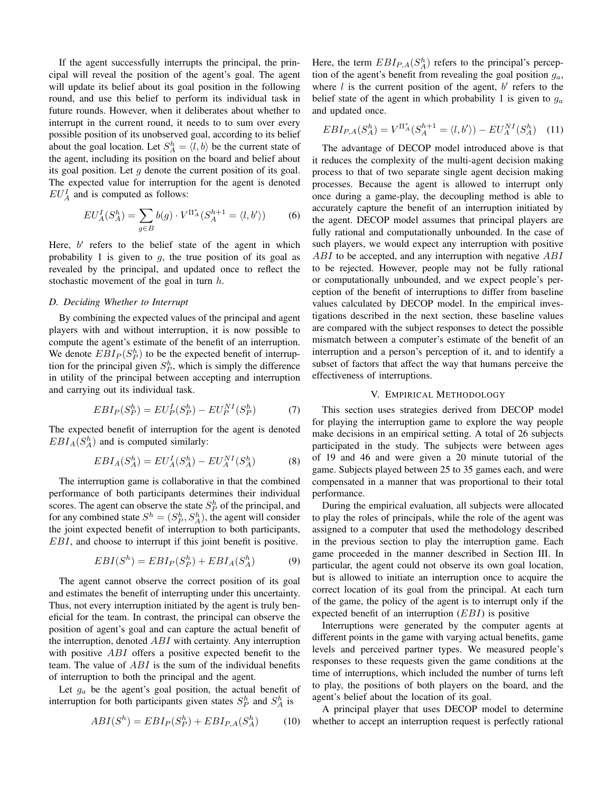If the agent successfully interrupts the principal, the principal will reveal the position of the agent's goal. The agent will update its belief about its goal position in the following round, and use this belief to perform its individual task in future rounds. However, when it deliberates about whether to interrupt in the current round, it needs to to sum over every possible position of its unobserved goal, according to its belief about the goal location. Let  $S_A^h = \langle l, b \rangle$  be the current state of the agent, including its position on the board and belief about its goal position. Let  $q$  denote the current position of its goal. The expected value for interruption for the agent is denoted  $EU_A^I$  and is computed as follows:

$$
EU_A^I(S_A^h) = \sum_{g \in B} b(g) \cdot V^{\Pi_A^*}(S_A^{h+1} = \langle l, b' \rangle)
$$
 (6)

Here,  $b'$  refers to the belief state of the agent in which probability 1 is given to  $g$ , the true position of its goal as revealed by the principal, and updated once to reflect the stochastic movement of the goal in turn  $h$ .

### *D. Deciding Whether to Interrupt*

By combining the expected values of the principal and agent players with and without interruption, it is now possible to compute the agent's estimate of the benefit of an interruption. We denote  $EBI_P(S_P^h)$  to be the expected benefit of interruption for the principal given  $S_P^h$ , which is simply the difference in utility of the principal between accepting and interruption and carrying out its individual task.

$$
EBI_P(S_P^h) = EU_P^I(S_P^h) - EU_P^{NI}(S_P^h)
$$
 (7)

The expected benefit of interruption for the agent is denoted  $EBI_A(S_A^h)$  and is computed similarly:

$$
EBI_A(S_A^h) = EU_A^I(S_A^h) - EU_A^{NI}(S_A^h)
$$
 (8)

The interruption game is collaborative in that the combined performance of both participants determines their individual scores. The agent can observe the state  $S_P^h$  of the principal, and for any combined state  $S^h = (S_P^h, S_A^h)$ , the agent will consider the joint expected benefit of interruption to both participants, EBI, and choose to interrupt if this joint benefit is positive.

$$
EBI(S^h) = EBI_P(S_P^h) + EBI_A(S_A^h)
$$
 (9)

The agent cannot observe the correct position of its goal and estimates the benefit of interrupting under this uncertainty. Thus, not every interruption initiated by the agent is truly beneficial for the team. In contrast, the principal can observe the position of agent's goal and can capture the actual benefit of the interruption, denoted  $ABI$  with certainty. Any interruption with positive *ABI* offers a positive expected benefit to the team. The value of  $ABI$  is the sum of the individual benefits of interruption to both the principal and the agent.

Let  $g_a$  be the agent's goal position, the actual benefit of interruption for both participants given states  $S_P^h$  and  $S_A^h$  is

$$
ABI(S^h) = EBI_P(S_P^h) + EBI_{P,A}(S_A^h) \tag{10}
$$

Here, the term  $EBI_{P,A}(S_A^h)$  refers to the principal's perception of the agent's benefit from revealing the goal position  $g_a$ , where  $l$  is the current position of the agent,  $b'$  refers to the belief state of the agent in which probability 1 is given to  $g_a$ and updated once.

$$
EBI_{P,A}(S_A^h) = V^{\Pi_A^*}(S_A^{h+1} = \langle l, b' \rangle) - EU_A^{NI}(S_A^h) \quad (11)
$$

The advantage of DECOP model introduced above is that it reduces the complexity of the multi-agent decision making process to that of two separate single agent decision making processes. Because the agent is allowed to interrupt only once during a game-play, the decoupling method is able to accurately capture the benefit of an interruption initiated by the agent. DECOP model assumes that principal players are fully rational and computationally unbounded. In the case of such players, we would expect any interruption with positive ABI to be accepted, and any interruption with negative ABI to be rejected. However, people may not be fully rational or computationally unbounded, and we expect people's perception of the benefit of interruptions to differ from baseline values calculated by DECOP model. In the empirical investigations described in the next section, these baseline values are compared with the subject responses to detect the possible mismatch between a computer's estimate of the benefit of an interruption and a person's perception of it, and to identify a subset of factors that affect the way that humans perceive the effectiveness of interruptions.

## V. EMPIRICAL METHODOLOGY

This section uses strategies derived from DECOP model for playing the interruption game to explore the way people make decisions in an empirical setting. A total of 26 subjects participated in the study. The subjects were between ages of 19 and 46 and were given a 20 minute tutorial of the game. Subjects played between 25 to 35 games each, and were compensated in a manner that was proportional to their total performance.

During the empirical evaluation, all subjects were allocated to play the roles of principals, while the role of the agent was assigned to a computer that used the methodology described in the previous section to play the interruption game. Each game proceeded in the manner described in Section III. In particular, the agent could not observe its own goal location, but is allowed to initiate an interruption once to acquire the correct location of its goal from the principal. At each turn of the game, the policy of the agent is to interrupt only if the expected benefit of an interruption (EBI) is positive

Interruptions were generated by the computer agents at different points in the game with varying actual benefits, game levels and perceived partner types. We measured people's responses to these requests given the game conditions at the time of interruptions, which included the number of turns left to play, the positions of both players on the board, and the agent's belief about the location of its goal.

A principal player that uses DECOP model to determine whether to accept an interruption request is perfectly rational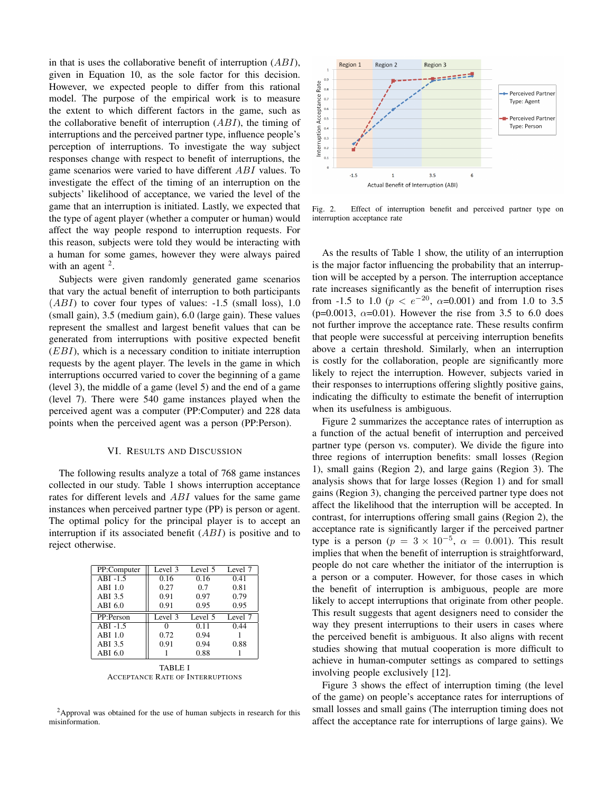in that is uses the collaborative benefit of interruption  $(ABI)$ , given in Equation 10, as the sole factor for this decision. However, we expected people to differ from this rational model. The purpose of the empirical work is to measure the extent to which different factors in the game, such as the collaborative benefit of interruption  $(ABI)$ , the timing of interruptions and the perceived partner type, influence people's perception of interruptions. To investigate the way subject responses change with respect to benefit of interruptions, the game scenarios were varied to have different ABI values. To investigate the effect of the timing of an interruption on the subjects' likelihood of acceptance, we varied the level of the game that an interruption is initiated. Lastly, we expected that the type of agent player (whether a computer or human) would affect the way people respond to interruption requests. For this reason, subjects were told they would be interacting with a human for some games, however they were always paired with an agent  $2$ .

Subjects were given randomly generated game scenarios that vary the actual benefit of interruption to both participants  $(ABI)$  to cover four types of values:  $-1.5$  (small loss), 1.0 (small gain), 3.5 (medium gain), 6.0 (large gain). These values represent the smallest and largest benefit values that can be generated from interruptions with positive expected benefit  $(EBI)$ , which is a necessary condition to initiate interruption requests by the agent player. The levels in the game in which interruptions occurred varied to cover the beginning of a game (level 3), the middle of a game (level 5) and the end of a game (level 7). There were 540 game instances played when the perceived agent was a computer (PP:Computer) and 228 data points when the perceived agent was a person (PP:Person).

#### VI. RESULTS AND DISCUSSION

The following results analyze a total of 768 game instances collected in our study. Table 1 shows interruption acceptance rates for different levels and ABI values for the same game instances when perceived partner type (PP) is person or agent. The optimal policy for the principal player is to accept an interruption if its associated benefit  $(ABI)$  is positive and to reject otherwise.

| PP:Computer    | Level 3 | Level 5 | Level 7 |
|----------------|---------|---------|---------|
| $ABI -1.5$     | 0.16    | 0.16    | 0.41    |
| $ABI$ 1.0      | 0.27    | 0.7     | 0.81    |
| ABI 3.5        | 0.91    | 0.97    | 0.79    |
| ABI 6.0        | 0.91    | 0.95    | 0.95    |
| PP:Person      | Level 3 | Level 5 | Level 7 |
| $ABI -1.5$     |         | 0.11    | 0.44    |
| $ABI$ 1.0      | 0.72    | 0.94    |         |
| ABI 3.5        | 0.91    | 0.94    | 0.88    |
| ABI 6.0        |         | 0.88    |         |
| <b>TABLE I</b> |         |         |         |

ACCEPTANCE RATE OF INTERRUPTIONS

<sup>2</sup>Approval was obtained for the use of human subjects in research for this misinformation.



Fig. 2. Effect of interruption benefit and perceived partner type on interruption acceptance rate

As the results of Table 1 show, the utility of an interruption is the major factor influencing the probability that an interruption will be accepted by a person. The interruption acceptance rate increases significantly as the benefit of interruption rises from -1.5 to 1.0 ( $p < e^{-20}$ ,  $\alpha$ =0.001) and from 1.0 to 3.5 (p=0.0013,  $\alpha$ =0.01). However the rise from 3.5 to 6.0 does not further improve the acceptance rate. These results confirm that people were successful at perceiving interruption benefits above a certain threshold. Similarly, when an interruption is costly for the collaboration, people are significantly more likely to reject the interruption. However, subjects varied in their responses to interruptions offering slightly positive gains, indicating the difficulty to estimate the benefit of interruption when its usefulness is ambiguous.

Figure 2 summarizes the acceptance rates of interruption as a function of the actual benefit of interruption and perceived partner type (person vs. computer). We divide the figure into three regions of interruption benefits: small losses (Region 1), small gains (Region 2), and large gains (Region 3). The analysis shows that for large losses (Region 1) and for small gains (Region 3), changing the perceived partner type does not affect the likelihood that the interruption will be accepted. In contrast, for interruptions offering small gains (Region 2), the acceptance rate is significantly larger if the perceived partner type is a person ( $p = 3 \times 10^{-5}$ ,  $\alpha = 0.001$ ). This result implies that when the benefit of interruption is straightforward, people do not care whether the initiator of the interruption is a person or a computer. However, for those cases in which the benefit of interruption is ambiguous, people are more likely to accept interruptions that originate from other people. This result suggests that agent designers need to consider the way they present interruptions to their users in cases where the perceived benefit is ambiguous. It also aligns with recent studies showing that mutual cooperation is more difficult to achieve in human-computer settings as compared to settings involving people exclusively [12].

Figure 3 shows the effect of interruption timing (the level of the game) on people's acceptance rates for interruptions of small losses and small gains (The interruption timing does not affect the acceptance rate for interruptions of large gains). We